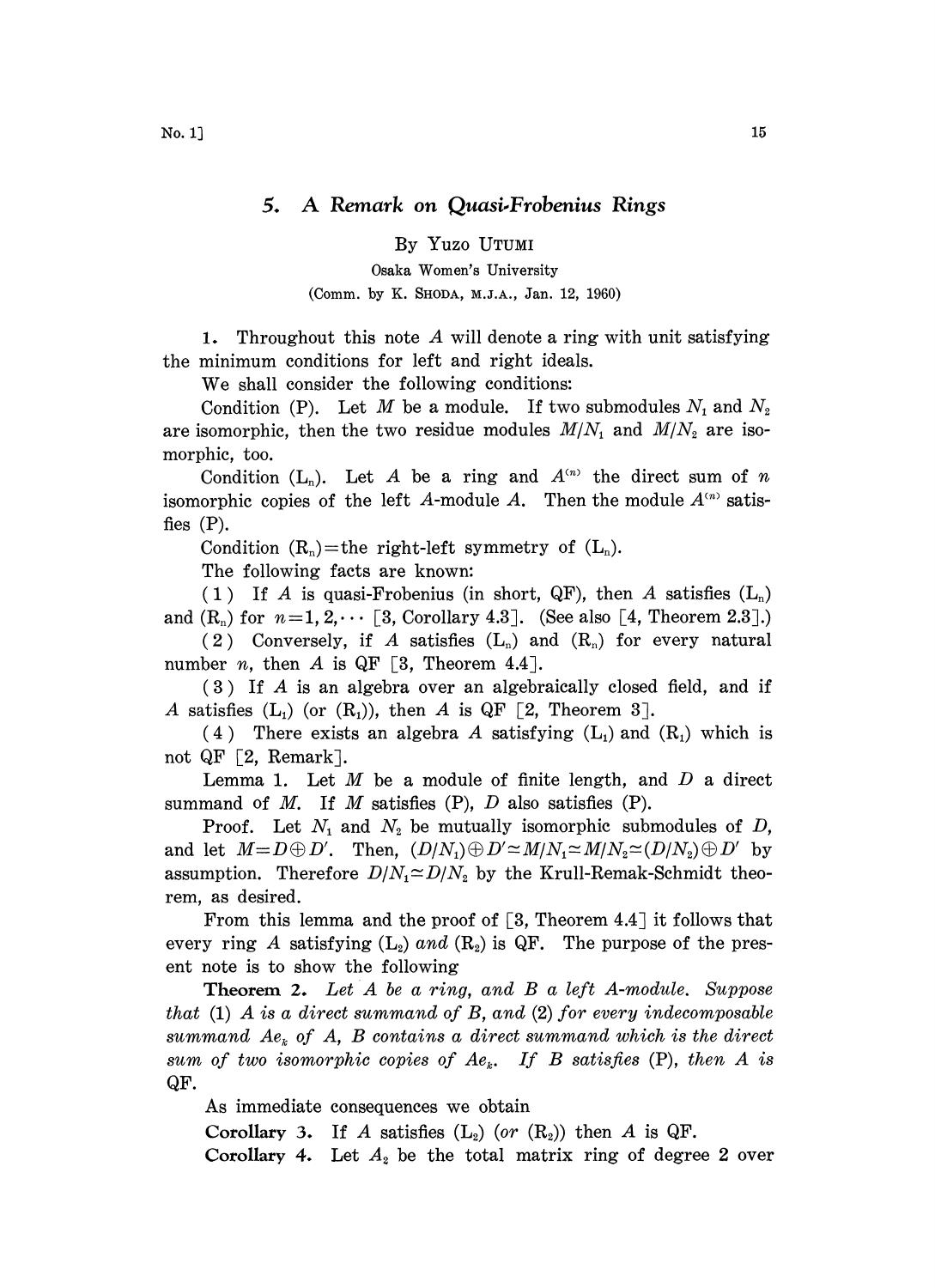By Yuzo UTUMI

Osaka Women's University (Comm. by K. SHODA, M.J.A., Jan. 12, 1960)

1. Throughout this note  $A$  will denote a ring with unit satisfying the minimum conditions for left and right ideals.

We shall consider the following conditions:

Condition (P). Let M be a module. If two submodules  $N_1$  and  $N_2$ are isomorphic, then the two residue modules  $M/N_1$  and  $M/N_2$  are isomorphic, too.

Condition  $(L_n)$ . Let A be a ring and  $A^{(n)}$  the direct sum of n isomorphic copies of the left A-module A. Then the module  $A^{(n)}$  satisfies (P).

Condition  $(R_n)$ =the right-left symmetry of  $(L_n)$ .

The following facts are known:

(1) If A is quasi-Frobenius (in short, QF), then A satisfies  $(L_n)$ and  $(R_n)$  for  $n=1, 2, \dots$  [3, Corollary 4.3]. (See also [4, Theorem 2.3].)

(2) Conversely, if A satisfies  $(L_n)$  and  $(R_n)$  for every natural number *n*, then *A* is QF [3, Theorem 4.4].

(3) If A is an algebra over an algebraically closed field, and if A satisfies  $(L_1)$  (or  $(R_1)$ ), then A is QF [2, Theorem 3].

(4) There exists an algebra A satisfying  $(L_1)$  and  $(R_1)$  which is not QF  $[2,$  Remark].

Lemma 1. Let  $M$  be a module of finite length, and  $D$  a direct summand of M. If M satisfies  $(P)$ , D also satisfies  $(P)$ .

Proof. Let  $N_1$  and  $N_2$  be mutually isomorphic submodules of D, and let  $M = D \oplus D'$ . Then,  $(D/N_1) \oplus D' \simeq M/N_1 \simeq M/N_2 \simeq (D/N_2) \oplus D'$  by assumption. Therefore  $D/N_1 \simeq D/N_2$  by the Krull-Remak-Schmidt theorem, as desired.

From this lemma and the proof of  $\lceil 3, \text{Theorem } 4.4 \rceil$  it follows that every ring A satisfying  $(L_2)$  and  $(R_2)$  is QF. The purpose of the present note is to show the following

Theorem 2. Let A be <sup>a</sup> ring, and B <sup>a</sup> left A-module. Suppose that  $(1)$  A is a direct summand of B, and  $(2)$  for every indecomposable summand  $Ae_k$  of A, B contains a direct summand which is the direct sum of two isomorphic copies of  $Ae_k$ . If B satisfies (P), then A is QF.

As immediate consequences we obtain

Corollary 3. If A satisfies  $(L_2)$  (or  $(R_2)$ ) then A is QF.

Corollary 4. Let  $A_2$  be the total matrix ring of degree 2 over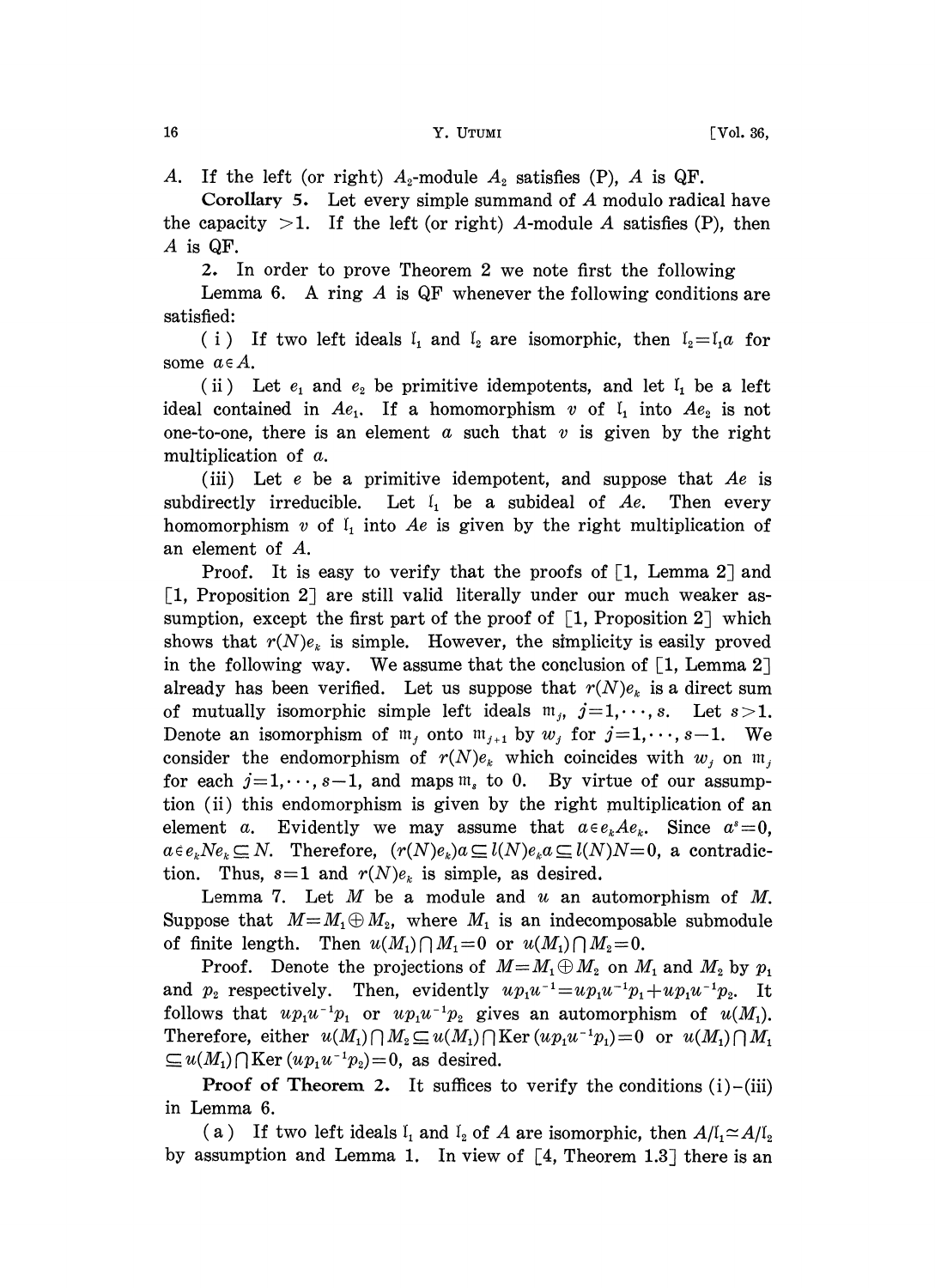A. If the left (or right)  $A_2$ -module  $A_2$  satisfies (P), A is QF.

Corollary 5. Let every simple summand of  $A$  modulo radical have the capacity  $>1$ . If the left (or right) A-module A satisfies (P), then A is QF.

2. In order to prove Theorem 2 we note first the following

Lemma 6. A ring  $A$  is QF whenever the following conditions are satisfied:

(i) If two left ideals  $I_1$  and  $I_2$  are isomorphic, then  $I_2=I_1a$  for some  $a \in A$ .

(ii) Let  $e_1$  and  $e_2$  be primitive idempotents, and let  $I_1$  be a left ideal contained in  $Ae_1$ . If a homomorphism v of  $I_1$  into  $Ae_2$  is not one-to-one, there is an element  $a$  such that  $v$  is given by the right multiplication of a.

(iii) Let  $e$  be a primitive idempotent, and suppose that  $Ae$  is subdirectly irreducible. Let  $\mathfrak{l}_1$  be a subideal of Ae. Then every homomorphism v of  $I_1$  into Ae is given by the right multiplication of an element of A.

Proof. It is easy to verify that the proofs of  $\lceil 1$ , Lemma 2 and  $\left[1, \right.$  Proposition 2] are still valid literally under our much weaker assumption, except the first part of the proof of  $\left[1, \text{Proposition 2}\right]$  which shows that  $r(N)e_k$  is simple. However, the simplicity is easily proved in the following way. We assume that the conclusion of  $\lceil 1$ , Lemma 2 $\rceil$ already has been verified. Let us suppose that  $r(N)e_k$  is a direct sum of mutually isomorphic simple left ideals  $m_j$ ,  $j=1,\dots,s$ . Let  $s>1$ . Denote an isomorphism of  $m_j$  onto  $m_{j+1}$  by  $w_j$  for  $j=1,\dots, s-1$ . We consider the endomorphism of  $r(N)e_k$  which coincides with  $w_i$  on  $m_i$ for each  $j=1,\dots, s-1$ , and maps  $m_s$  to 0. By virtue of our assumption (ii) this endomorphism is given by the right multiplication of an element a. Evidently we may assume that  $a \in e_k A e_k$ . Since  $a^s = 0$ ,  $a \in e_k Ne_k \subseteq N$ . Therefore,  $(r(N)e_k)a \subseteq l(N)e_ka \subseteq l(N)N=0$ , a contradiction. Thus,  $s=1$  and  $r(N)e_k$  is simple, as desired.

Lemma 7. Let  $M$  be a module and  $u$  an automorphism of  $M$ . Suppose that  $M=M_1\oplus M_2$ , where  $M_1$  is an indecomposable submodule of finite length. Then  $u(M_1) \cap M_1 = 0$  or  $u(M_1) \cap M_2 = 0$ .

Proof. Denote the projections of  $M=M_1\oplus M_2$  on  $M_1$  and  $M_2$  by  $p_1$ and  $p_2$  respectively. Then, evidently  $u p_1 u^{-1} = u p_1 u^{-1} p_1 + u p_1 u^{-1} p_2$ . It follows that  $up_1u^{-1}p_1$  or  $up_1u^{-1}p_2$  gives an automorphism of  $u(M_1)$ . Therefore, either  $u(M_1) \cap M_2 \subseteq u(M_1) \cap \text{Ker}(u p_1 u^{-1} p_1) = 0$  or  $u(M_1) \cap M_1$  $\subseteq u(M_1) \cap \text{Ker}(u p_1 u^{-1} p_2) = 0$ , as desired.

**Proof of Theorem 2.** It suffices to verify the conditions  $(i)$ - $(iii)$ in Lemma 6.

(a) If two left ideals  $I_1$  and  $I_2$  of A are isomorphic, then  $A/I_1 \simeq A/I_2$ by assumption and Lemma 1. In view of  $[4,$  Theorem 1.3] there is an